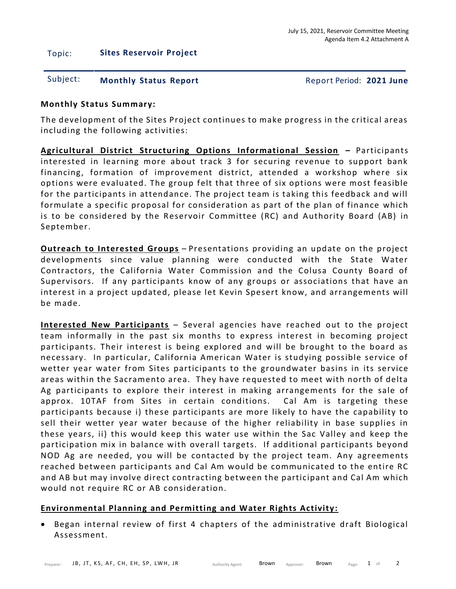## Topic: **Sites Reservoir Project**

# Subject: **Monthly Status Report** Report Period: **2021 June**

## **Monthly Status Summary:**

The development of the Sites Project continues to make progress in the critical areas including the following activities:

**Agricultural District Structuring Options Informational Session –** Participants interested in learning more about track 3 for securing revenue to support bank financing, formation of improvement district, attended a workshop where six options were evaluated. The group felt that three of six options were most feasible for the participants in attendance. The project team is taking this feedback and will formulate a specific proposal for consideration as part of the plan of finance which is to be considered by the Reservoir Committee (RC) and Authority Board (AB) in September.

**Outreach to Interested Groups** – Presentations providing an update on the project developments since value planning were conducted with the State Water Contractors, the California Water Commission and the Colusa County Board of Supervisors. If any participants know of any groups or associations that have an interest in a project updated, please let Kevin Spesert know, and arrangements will be made.

**Interested New Participants** – Several agencies have reached out to the project team informally in the past six months to express interest in becoming project participants. Their interest is being explored and will be brought to the board as necessary. In particular, California American Water is studying possible service of wetter year water from Sites participants to the groundwater basins in its service areas within the Sacramento area. They have requested to meet with north of delta Ag participants to explore their interest in making arrangements for the sale of approx. 10TAF from Sites in certain conditions. Cal Am is targeting these participants because i) these participants are more likely to have the capability to sell their wetter year water because of the higher reliability in base supplies in these years, ii) this would keep this water use within the Sac Valley and keep the participation mix in balance with overall targets. If additional participants beyond NOD Ag are needed, you will be contacted by the project team. Any agreements reached between participants and Cal Am would be communicated to the entire RC and AB but may involve direct contracting between the participant and Cal Am which would not require RC or AB consideration.

## **Environmental Planning and Permitting and Water Rights Activity:**

• Began internal review of first 4 chapters of the administrative draft Biological Assessment.